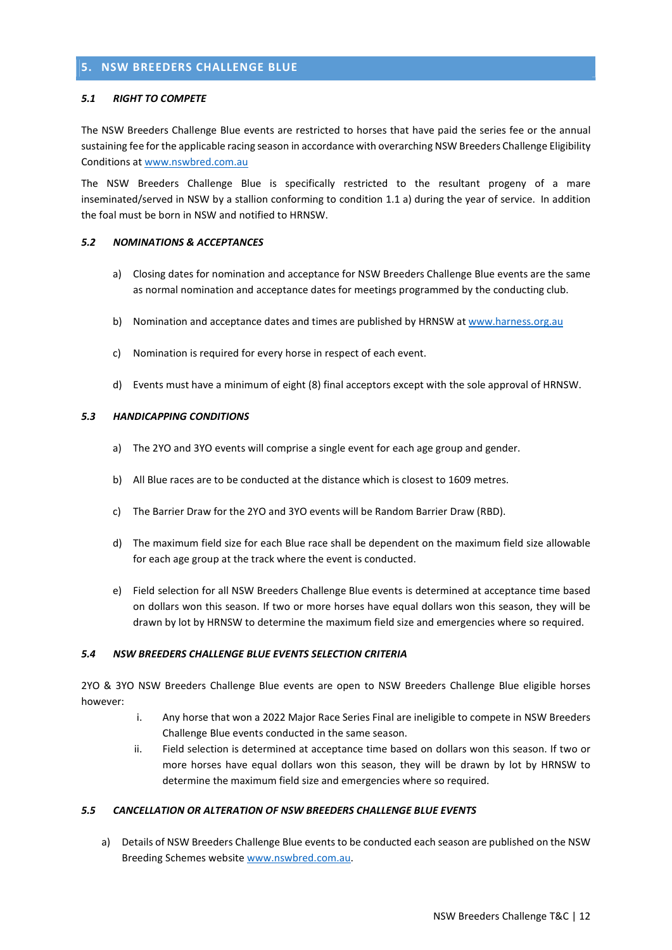# 5. NSW BREEDERS CHALLENGE BLUE

#### 5.1 RIGHT TO COMPETE

The NSW Breeders Challenge Blue events are restricted to horses that have paid the series fee or the annual sustaining fee for the applicable racing season in accordance with overarching NSW Breeders Challenge Eligibility Conditions at www.nswbred.com.au

The NSW Breeders Challenge Blue is specifically restricted to the resultant progeny of a mare inseminated/served in NSW by a stallion conforming to condition 1.1 a) during the year of service. In addition the foal must be born in NSW and notified to HRNSW.

## 5.2 NOMINATIONS & ACCEPTANCES

- a) Closing dates for nomination and acceptance for NSW Breeders Challenge Blue events are the same as normal nomination and acceptance dates for meetings programmed by the conducting club.
- b) Nomination and acceptance dates and times are published by HRNSW at www.harness.org.au
- c) Nomination is required for every horse in respect of each event.
- d) Events must have a minimum of eight (8) final acceptors except with the sole approval of HRNSW.

### 5.3 HANDICAPPING CONDITIONS

- a) The 2YO and 3YO events will comprise a single event for each age group and gender.
- b) All Blue races are to be conducted at the distance which is closest to 1609 metres.
- c) The Barrier Draw for the 2YO and 3YO events will be Random Barrier Draw (RBD).
- d) The maximum field size for each Blue race shall be dependent on the maximum field size allowable for each age group at the track where the event is conducted.
- e) Field selection for all NSW Breeders Challenge Blue events is determined at acceptance time based on dollars won this season. If two or more horses have equal dollars won this season, they will be drawn by lot by HRNSW to determine the maximum field size and emergencies where so required.

### 5.4 NSW BREEDERS CHALLENGE BLUE EVENTS SELECTION CRITERIA

2YO & 3YO NSW Breeders Challenge Blue events are open to NSW Breeders Challenge Blue eligible horses however:

- i. Any horse that won a 2022 Major Race Series Final are ineligible to compete in NSW Breeders Challenge Blue events conducted in the same season.
- ii. Field selection is determined at acceptance time based on dollars won this season. If two or more horses have equal dollars won this season, they will be drawn by lot by HRNSW to determine the maximum field size and emergencies where so required.

## 5.5 CANCELLATION OR ALTERATION OF NSW BREEDERS CHALLENGE BLUE EVENTS

a) Details of NSW Breeders Challenge Blue events to be conducted each season are published on the NSW Breeding Schemes website www.nswbred.com.au.